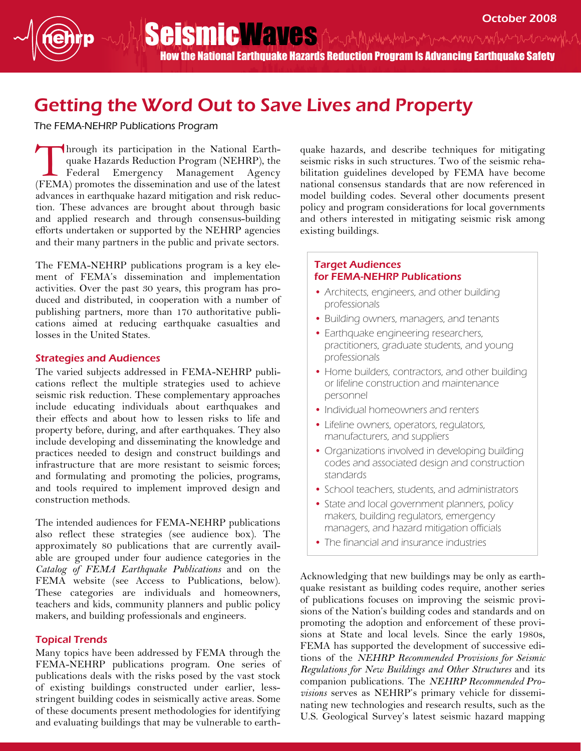How the National Earthquake Hazards Reduction Program Is Advancing Earthquake Safety

# Getting the Word Out to Save Lives and Property

The FEMA-NEHRP Publications Program

The FERN FREE REFLERING EXPERIENCE PROGRESS FREE REGISTER.<br>Through its participation in the National Earth-<br>The Hederal Emergency Management Agency quake Hazards Reduction Program (NEHRP), the Federal Emergency Management Agency (FEMA) promotes the dissemination and use of the latest advances in earthquake hazard mitigation and risk reduction. These advances are brought about through basic and applied research and through consensus-building efforts undertaken or supported by the NEHRP agencies and their many partners in the public and private sectors.

The FEMA-NEHRP publications program is a key element of FEMA's dissemination and implementation activities. Over the past 30 years, this program has produced and distributed, in cooperation with a number of publishing partners, more than 170 authoritative publications aimed at reducing earthquake casualties and losses in the United States.

#### Strategies and Audiences

The varied subjects addressed in FEMA-NEHRP publications reflect the multiple strategies used to achieve seismic risk reduction. These complementary approaches include educating individuals about earthquakes and their effects and about how to lessen risks to life and property before, during, and after earthquakes. They also include developing and disseminating the knowledge and practices needed to design and construct buildings and infrastructure that are more resistant to seismic forces; and formulating and promoting the policies, programs, and tools required to implement improved design and construction methods.

The intended audiences for FEMA-NEHRP publications also reflect these strategies (see audience box). The approximately 80 publications that are currently available are grouped under four audience categories in the Catalog of FEMA Earthquake Publications and on the FEMA website (see Access to Publications, below). These categories are individuals and homeowners, teachers and kids, community planners and public policy makers, and building professionals and engineers.

## Topical Trends

Many topics have been addressed by FEMA through the FEMA-NEHRP publications program. One series of publications deals with the risks posed by the vast stock of existing buildings constructed under earlier, lessstringent building codes in seismically active areas. Some of these documents present methodologies for identifying and evaluating buildings that may be vulnerable to earthquake hazards, and describe techniques for mitigating seismic risks in such structures. Two of the seismic rehabilitation guidelines developed by FEMA have become national consensus standards that are now referenced in model building codes. Several other documents present policy and program considerations for local governments and others interested in mitigating seismic risk among existing buildings.

### Target Audiences for FEMA-NEHRP Publications

- Architects, engineers, and other building professionals
- Building owners, managers, and tenants
- Earthquake engineering researchers, practitioners, graduate students, and young professionals
- Home builders, contractors, and other building or lifeline construction and maintenance personnel
- Individual homeowners and renters
- Lifeline owners, operators, regulators, manufacturers, and suppliers
- Organizations involved in developing building codes and associated design and construction standards
- School teachers, students, and administrators
- State and local government planners, policy makers, building regulators, emergency managers, and hazard mitigation officials
- The financial and insurance industries

Acknowledging that new buildings may be only as earthquake resistant as building codes require, another series of publications focuses on improving the seismic provisions of the Nation's building codes and standards and on promoting the adoption and enforcement of these provisions at State and local levels. Since the early 1980s, FEMA has supported the development of successive editions of the NEHRP Recommended Provisions for Seismic Regulations for New Buildings and Other Structures and its companion publications. The NEHRP Recommended Provisions serves as NEHRP's primary vehicle for disseminating new technologies and research results, such as the U.S. Geological Survey's latest seismic hazard mapping